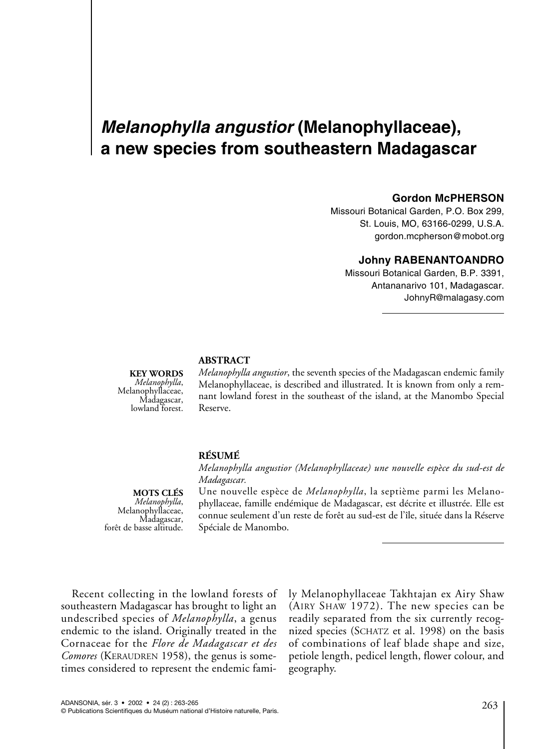# *Melanophylla angustior* **(Melanophyllaceae), a new species from southeastern Madagascar**

#### **Gordon McPHERSON**

Missouri Botanical Garden, P.O. Box 299, St. Louis, MO, 63166-0299, U.S.A. gordon.mcpherson@mobot.org

### **Johny RABENANTOANDRO**

Missouri Botanical Garden, B.P. 3391, Antananarivo 101, Madagascar. JohnyR@malagasy.com

**KEY WORDS**  *Melanophylla*, Melanophyllaceae, Madagascar, lowland forest.

*Melanophylla angustior*, the seventh species of the Madagascan endemic family Melanophyllaceae, is described and illustrated. It is known from only a remnant lowland forest in the southeast of the island, at the Manombo Special Reserve.

### **RÉSUMÉ**

**ABSTRACT** 

*Melanophylla angustior (Melanophyllaceae) une nouvelle espèce du sud-est de Madagascar.*

# **MOTS CLÉS**

*Melanophyllaceae,*<br>*Madagascar,*<br>forêt de basse altitude.

Une nouvelle espèce de *Melanophylla*, la septième parmi les Melanophyllaceae, famille endémique de Madagascar, est décrite et illustrée. Elle est connue seulement d'un reste de forêt au sud-est de l'île, située dans la Réserve Spéciale de Manombo.

Recent collecting in the lowland forests of southeastern Madagascar has brought to light an undescribed species of *Melanophylla*, a genus endemic to the island. Originally treated in the Cornaceae for the *Flore de Madagascar et des Comores* (KERAUDREN 1958), the genus is sometimes considered to represent the endemic family Melanophyllaceae Takhtajan ex Airy Shaw (AIRY SHAW 1972). The new species can be readily separated from the six currently recognized species (SCHATZ et al. 1998) on the basis of combinations of leaf blade shape and size, petiole length, pedicel length, flower colour, and geography.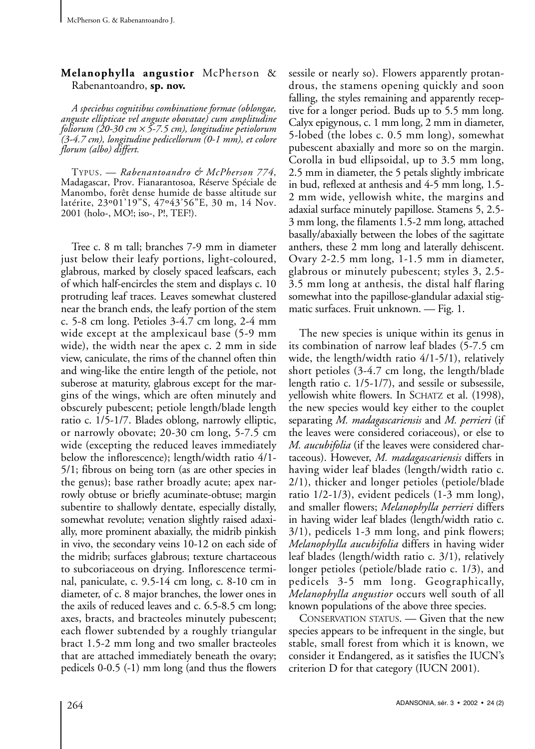## **Melanophylla angustior** McPherson & Rabenantoandro, **sp. nov.**

*A speciebus cognitibus combinatione formae (oblongae, anguste ellipticae vel anguste obovatae) cum amplitudine foliorum (20-30 cm* <sup>×</sup> *5-7.5 cm), longitudine petiolorum (3-4.7 cm), longitudine pedicellorum (0-1 mm), et colore florum (albo) differt.*

TYPUS. — *Rabenantoandro & McPherson 774,* Madagascar, Prov. Fianarantosoa, Réserve Spéciale de Manombo, forêt dense humide de basse altitude sur latérite, 23º01'19"S, 47º43'56"E, 30 m, 14 Nov. 2001 (holo-, MO!; iso-, P!, TEF!).

Tree c. 8 m tall; branches 7-9 mm in diameter just below their leafy portions, light-coloured, glabrous, marked by closely spaced leafscars, each of which half-encircles the stem and displays c. 10 protruding leaf traces. Leaves somewhat clustered near the branch ends, the leafy portion of the stem c. 5-8 cm long. Petioles 3-4.7 cm long, 2-4 mm wide except at the amplexicaul base (5-9 mm wide), the width near the apex c. 2 mm in side view, caniculate, the rims of the channel often thin and wing-like the entire length of the petiole, not suberose at maturity, glabrous except for the margins of the wings, which are often minutely and obscurely pubescent; petiole length/blade length ratio c. 1/5-1/7. Blades oblong, narrowly elliptic, or narrowly obovate; 20-30 cm long, 5-7.5 cm wide (excepting the reduced leaves immediately below the inflorescence); length/width ratio 4/1- 5/1; fibrous on being torn (as are other species in the genus); base rather broadly acute; apex narrowly obtuse or briefly acuminate-obtuse; margin subentire to shallowly dentate, especially distally, somewhat revolute; venation slightly raised adaxially, more prominent abaxially, the midrib pinkish in vivo, the secondary veins 10-12 on each side of the midrib; surfaces glabrous; texture chartaceous to subcoriaceous on drying. Inflorescence terminal, paniculate, c. 9.5-14 cm long, c. 8-10 cm in diameter, of c. 8 major branches, the lower ones in the axils of reduced leaves and c. 6.5-8.5 cm long; axes, bracts, and bracteoles minutely pubescent; each flower subtended by a roughly triangular bract 1.5-2 mm long and two smaller bracteoles that are attached immediately beneath the ovary; pedicels 0-0.5 (-1) mm long (and thus the flowers

sessile or nearly so). Flowers apparently protandrous, the stamens opening quickly and soon falling, the styles remaining and apparently receptive for a longer period. Buds up to 5.5 mm long. Calyx epigynous, c. 1 mm long, 2 mm in diameter, 5-lobed (the lobes c. 0.5 mm long), somewhat pubescent abaxially and more so on the margin. Corolla in bud ellipsoidal, up to 3.5 mm long, 2.5 mm in diameter, the 5 petals slightly imbricate in bud, reflexed at anthesis and 4-5 mm long, 1.5- 2 mm wide, yellowish white, the margins and adaxial surface minutely papillose. Stamens 5, 2.5- 3 mm long, the filaments 1.5-2 mm long, attached basally/abaxially between the lobes of the sagittate anthers, these 2 mm long and laterally dehiscent. Ovary 2-2.5 mm long, 1-1.5 mm in diameter, glabrous or minutely pubescent; styles 3, 2.5- 3.5 mm long at anthesis, the distal half flaring somewhat into the papillose-glandular adaxial stigmatic surfaces. Fruit unknown. — Fig. 1.

The new species is unique within its genus in its combination of narrow leaf blades (5-7.5 cm wide, the length/width ratio 4/1-5/1), relatively short petioles (3-4.7 cm long, the length/blade length ratio c. 1/5-1/7), and sessile or subsessile, yellowish white flowers. In SCHATZ et al. (1998), the new species would key either to the couplet separating *M. madagascariensis* and *M. perrieri* (if the leaves were considered coriaceous), or else to *M. aucubifolia* (if the leaves were considered chartaceous). However, *M. madagascariensis* differs in having wider leaf blades (length/width ratio c. 2/1), thicker and longer petioles (petiole/blade ratio 1/2-1/3), evident pedicels (1-3 mm long), and smaller flowers; *Melanophylla perrieri* differs in having wider leaf blades (length/width ratio c. 3/1), pedicels 1-3 mm long, and pink flowers; *Melanophylla aucubifolia* differs in having wider leaf blades (length/width ratio c. 3/1), relatively longer petioles (petiole/blade ratio c. 1/3), and pedicels 3-5 mm long. Geographically, *Melanophylla angustior* occurs well south of all known populations of the above three species.

CONSERVATION STATUS. — Given that the new species appears to be infrequent in the single, but stable, small forest from which it is known, we consider it Endangered, as it satisfies the IUCN's criterion D for that category (IUCN 2001).